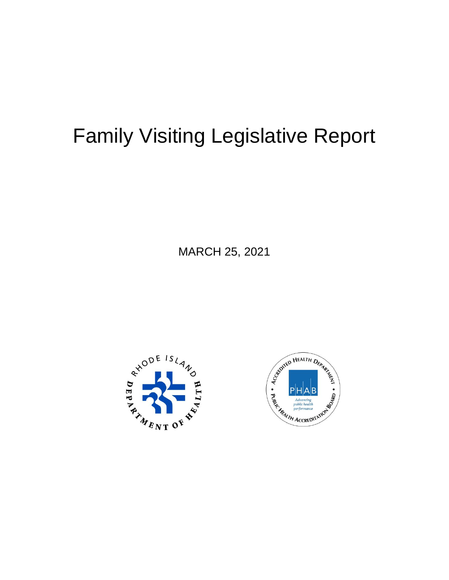# Family Visiting Legislative Report

MARCH 25, 2021



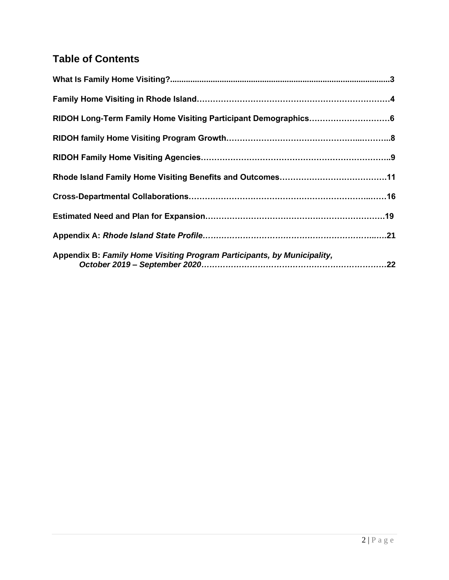# **Table of Contents**

| RIDOH Long-Term Family Home Visiting Participant Demographics6          |
|-------------------------------------------------------------------------|
|                                                                         |
|                                                                         |
|                                                                         |
|                                                                         |
|                                                                         |
|                                                                         |
| Appendix B: Family Home Visiting Program Participants, by Municipality, |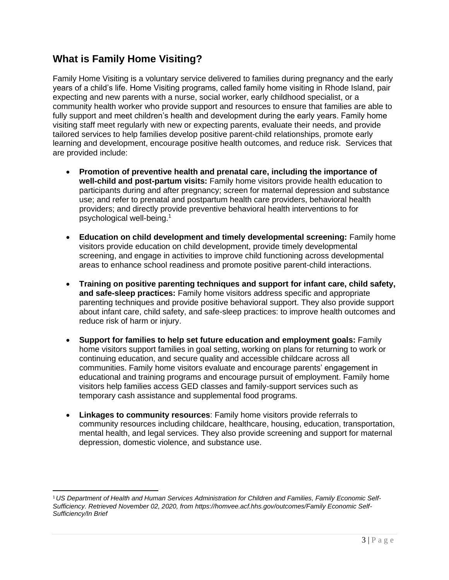# **What is Family Home Visiting?**

Family Home Visiting is a voluntary service delivered to families during pregnancy and the early years of a child's life. Home Visiting programs, called family home visiting in Rhode Island, pair expecting and new parents with a nurse, social worker, early childhood specialist, or a community health worker who provide support and resources to ensure that families are able to fully support and meet children's health and development during the early years. Family home visiting staff meet regularly with new or expecting parents, evaluate their needs, and provide tailored services to help families develop positive parent-child relationships, promote early learning and development, encourage positive health outcomes, and reduce risk. Services that are provided include:

- **Promotion of preventive health and prenatal care, including the importance of well-child and post-partum visits:** Family home visitors provide health education to participants during and after pregnancy; screen for maternal depression and substance use; and refer to prenatal and postpartum health care providers, behavioral health providers; and directly provide preventive behavioral health interventions to for psychological well-being. 1
- **Education on child development and timely developmental screening:** Family home visitors provide education on child development, provide timely developmental screening, and engage in activities to improve child functioning across developmental areas to enhance school readiness and promote positive parent-child interactions.
- **Training on positive parenting techniques and support for infant care, child safety, and safe-sleep practices:** Family home visitors address specific and appropriate parenting techniques and provide positive behavioral support. They also provide support about infant care, child safety, and safe-sleep practices: to improve health outcomes and reduce risk of harm or injury.
- **Support for families to help set future education and employment goals:** Family home visitors support families in goal setting, working on plans for returning to work or continuing education, and secure quality and accessible childcare across all communities. Family home visitors evaluate and encourage parents' engagement in educational and training programs and encourage pursuit of employment. Family home visitors help families access GED classes and family-support services such as temporary cash assistance and supplemental food programs.
- **Linkages to community resources**: Family home visitors provide referrals to community resources including childcare, healthcare, housing, education, transportation, mental health, and legal services. They also provide screening and support for maternal depression, domestic violence, and substance use.

<sup>1</sup>*US Department of Health and Human Services Administration for Children and Families, Family Economic Self-Sufficiency. Retrieved November 02, 2020, from https://homvee.acf.hhs.gov/outcomes/Family Economic Self-Sufficiency/In Brief*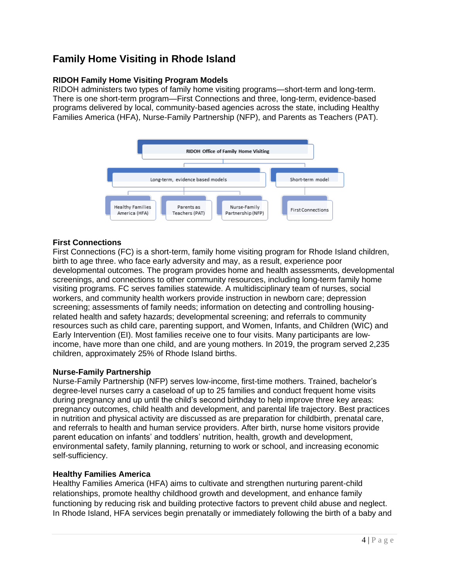# **Family Home Visiting in Rhode Island**

# **RIDOH Family Home Visiting Program Models**

RIDOH administers two types of family home visiting programs—short-term and long-term. There is one short-term program—First Connections and three, long-term, evidence-based programs delivered by local, community-based agencies across the state, including Healthy Families America (HFA), Nurse-Family Partnership (NFP), and Parents as Teachers (PAT).



# **First Connections**

First Connections (FC) is a short-term, family home visiting program for Rhode Island children, birth to age three. who face early adversity and may, as a result, experience poor developmental outcomes. The program provides home and health assessments, developmental screenings, and connections to other community resources, including long-term family home visiting programs. FC serves families statewide. A multidisciplinary team of nurses, social workers, and community health workers provide instruction in newborn care; depression screening; assessments of family needs; information on detecting and controlling housingrelated health and safety hazards; developmental screening; and referrals to community resources such as child care, parenting support, and Women, Infants, and Children (WIC) and Early Intervention (EI). Most families receive one to four visits. Many participants are lowincome, have more than one child, and are young mothers. In 2019, the program served 2,235 children, approximately 25% of Rhode Island births.

# **Nurse-Family Partnership**

Nurse-Family Partnership (NFP) serves low-income, first-time mothers. Trained, bachelor's degree-level nurses carry a caseload of up to 25 families and conduct frequent home visits during pregnancy and up until the child's second birthday to help improve three key areas: pregnancy outcomes, child health and development, and parental life trajectory. Best practices in nutrition and physical activity are discussed as are preparation for childbirth, prenatal care, and referrals to health and human service providers. After birth, nurse home visitors provide parent education on infants' and toddlers' nutrition, health, growth and development, environmental safety, family planning, returning to work or school, and increasing economic self-sufficiency.

# **Healthy Families America**

Healthy Families America (HFA) aims to cultivate and strengthen nurturing parent-child relationships, promote healthy childhood growth and development, and enhance family functioning by reducing risk and building protective factors to prevent child abuse and neglect. In Rhode Island, HFA services begin prenatally or immediately following the birth of a baby and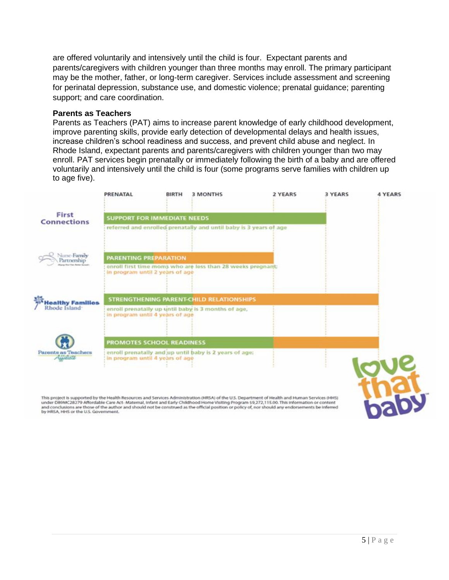are offered voluntarily and intensively until the child is four. Expectant parents and parents/caregivers with children younger than three months may enroll. The primary participant may be the mother, father, or long-term caregiver. Services include assessment and screening for perinatal depression, substance use, and domestic violence; prenatal guidance; parenting support; and care coordination.

### **Parents as Teachers**

Parents as Teachers (PAT) aims to increase parent knowledge of early childhood development, improve parenting skills, provide early detection of developmental delays and health issues, increase children's school readiness and success, and prevent child abuse and neglect. In Rhode Island, expectant parents and parents/caregivers with children younger than two may enroll. PAT services begin prenatally or immediately following the birth of a baby and are offered voluntarily and intensively until the child is four (some programs serve families with children up to age five).



This project is supported by the Health Resources and Services Administration (HRSA) of the U.S. Department of Health and Human Services (HHS)<br>under D89MC28279 Affordable Care Act- Maternal, Infant and Early Childhood Home and conclusions are those of the author and should not be construed as the official position or policy of, nor should any endorsements be inferred by HRSA, HHS or the U.S. Government.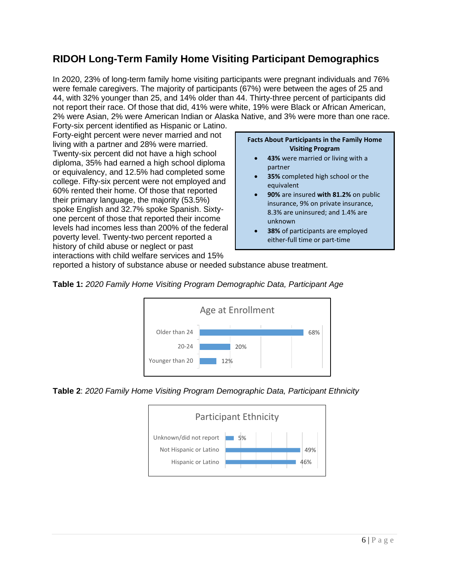# **RIDOH Long-Term Family Home Visiting Participant Demographics**

In 2020, 23% of long-term family home visiting participants were pregnant individuals and 76% were female caregivers. The majority of participants (67%) were between the ages of 25 and 44, with 32% younger than 25, and 14% older than 44. Thirty-three percent of participants did not report their race. Of those that did, 41% were white, 19% were Black or African American, 2% were Asian, 2% were American Indian or Alaska Native, and 3% were more than one race.

Forty-six percent identified as Hispanic or Latino. Forty-eight percent were never married and not living with a partner and 28% were married. Twenty-six percent did not have a high school diploma, 35% had earned a high school diploma or equivalency, and 12.5% had completed some college. Fifty-six percent were not employed and 60% rented their home. Of those that reported their primary language, the majority (53.5%) spoke English and 32.7% spoke Spanish. Sixtyone percent of those that reported their income levels had incomes less than 200% of the federal poverty level. Twenty-two percent reported a history of child abuse or neglect or past interactions with child welfare services and 15%

#### **Facts About Participants in the Family Home Visiting Program**

- **43%** were married or living with a partner
- **35%** completed high school or the equivalent
- **90%** are insured **with 81.2%** on public insurance, 9% on private insurance, 8.3% are uninsured; and 1.4% are unknown
- **38%** of participants are employed either-full time or part-time

reported a history of substance abuse or needed substance abuse treatment.





**Table 2**: *2020 Family Home Visiting Program Demographic Data, Participant Ethnicity*

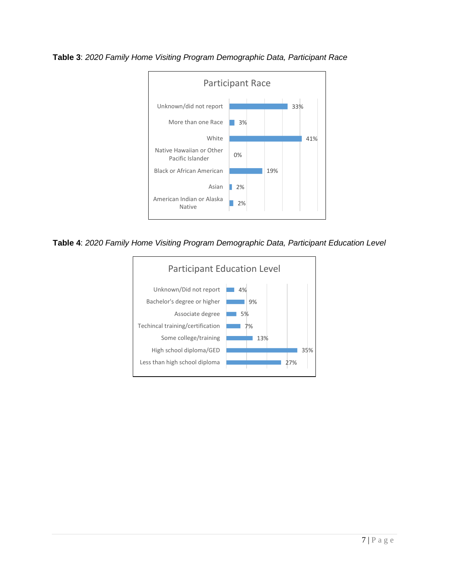

**Table 3**: *2020 Family Home Visiting Program Demographic Data, Participant Race*

**Table 4**: *2020 Family Home Visiting Program Demographic Data, Participant Education Level*

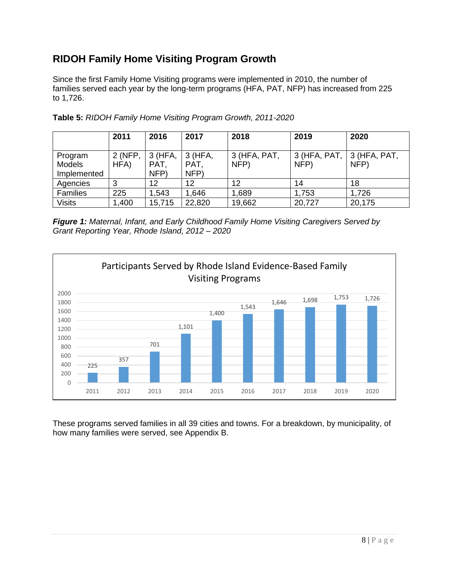# **RIDOH Family Home Visiting Program Growth**

Since the first Family Home Visiting programs were implemented in 2010, the number of families served each year by the long-term programs (HFA, PAT, NFP) has increased from 225 to 1,726.

|                                  | 2011            | 2016                    | 2017                      | 2018                   | 2019   | 2020                                        |
|----------------------------------|-----------------|-------------------------|---------------------------|------------------------|--------|---------------------------------------------|
| Program<br>Models<br>Implemented | 2 (NFP,<br>HFA) | 3 (HFA,<br>PAT.<br>NFP) | $3$ (HFA,<br>PAT.<br>NFP) | $3$ (HFA, PAT,<br>NFP) | NFP)   | $3$ (HFA, PAT, $\vert 3$ (HFA, PAT,<br>NFP) |
| Agencies                         | 3               | 12                      | 12                        | 12                     | 14     | 18                                          |
| <b>Families</b>                  | 225             | 1,543                   | 1,646                     | .689                   | 1,753  | 1,726                                       |
| <b>Visits</b>                    | 1,400           | 15,715                  | 22,820                    | 19,662                 | 20,727 | 20,175                                      |

**Table 5:** *RIDOH Family Home Visiting Program Growth, 2011-2020*

*Figure 1: Maternal, Infant, and Early Childhood Family Home Visiting Caregivers Served by Grant Reporting Year, Rhode Island, 2012 – 2020*



These programs served families in all 39 cities and towns. For a breakdown, by municipality, of how many families were served, see Appendix B.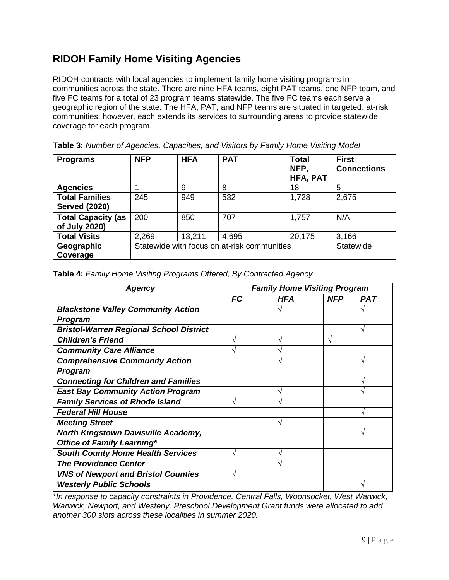# **RIDOH Family Home Visiting Agencies**

RIDOH contracts with local agencies to implement family home visiting programs in communities across the state. There are nine HFA teams, eight PAT teams, one NFP team, and five FC teams for a total of 23 program teams statewide. The five FC teams each serve a geographic region of the state. The HFA, PAT, and NFP teams are situated in targeted, at-risk communities; however, each extends its services to surrounding areas to provide statewide coverage for each program.

| Table 3: Number of Agencies, Capacities, and Visitors by Family Home Visiting Model |  |
|-------------------------------------------------------------------------------------|--|
|-------------------------------------------------------------------------------------|--|

| <b>Programs</b>                               | <b>NFP</b>                                  | <b>HFA</b> | <b>PAT</b> | <b>Total</b><br>NFP.<br><b>HFA, PAT</b> | <b>First</b><br><b>Connections</b> |
|-----------------------------------------------|---------------------------------------------|------------|------------|-----------------------------------------|------------------------------------|
| <b>Agencies</b>                               |                                             | 9          | 8          | 18                                      | 5                                  |
| <b>Total Families</b><br><b>Served (2020)</b> | 245                                         | 949        | 532        | 1,728                                   | 2,675                              |
| <b>Total Capacity (as</b><br>of July 2020)    | 200                                         | 850        | 707        | 1,757                                   | N/A                                |
| <b>Total Visits</b>                           | 2,269                                       | 13,211     | 4,695      | 20,175                                  | 3,166                              |
| Geographic<br>Coverage                        | Statewide with focus on at-risk communities |            |            | Statewide                               |                                    |

| Table 4: Family Home Visiting Programs Offered, By Contracted Agency |  |  |
|----------------------------------------------------------------------|--|--|
|                                                                      |  |  |

| Agency                                         | <b>Family Home Visiting Program</b> |     |            |               |
|------------------------------------------------|-------------------------------------|-----|------------|---------------|
|                                                | <b>FC</b>                           | HFA | <b>NFP</b> | <b>PAT</b>    |
| <b>Blackstone Valley Community Action</b>      |                                     |     |            |               |
| <b>Program</b>                                 |                                     |     |            |               |
| <b>Bristol-Warren Regional School District</b> |                                     |     |            | ٦             |
| <b>Children's Friend</b>                       |                                     | ٦   | ٦          |               |
| <b>Community Care Alliance</b>                 |                                     |     |            |               |
| <b>Comprehensive Community Action</b>          |                                     |     |            | N             |
| <b>Program</b>                                 |                                     |     |            |               |
| <b>Connecting for Children and Families</b>    |                                     |     |            | ٦Ι            |
| <b>East Bay Community Action Program</b>       |                                     |     |            |               |
| <b>Family Services of Rhode Island</b>         |                                     |     |            |               |
| <b>Federal Hill House</b>                      |                                     |     |            | $\mathcal{N}$ |
| <b>Meeting Street</b>                          |                                     | ٦   |            |               |
| <b>North Kingstown Davisville Academy,</b>     |                                     |     |            | $\mathcal{N}$ |
| Office of Family Learning*                     |                                     |     |            |               |
| <b>South County Home Health Services</b>       | $\mathcal{N}$                       | ٦   |            |               |
| <b>The Providence Center</b>                   |                                     |     |            |               |
| <b>VNS of Newport and Bristol Counties</b>     | N                                   |     |            |               |
| <b>Westerly Public Schools</b>                 |                                     |     |            |               |

*\*In response to capacity constraints in Providence, Central Falls, Woonsocket, West Warwick, Warwick, Newport, and Westerly, Preschool Development Grant funds were allocated to add another 300 slots across these localities in summer 2020.*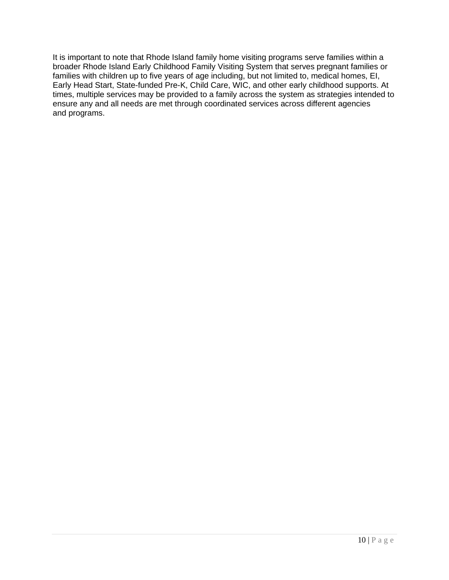It is important to note that Rhode Island family home visiting programs serve families within a broader Rhode Island Early Childhood Family Visiting System that serves pregnant families or families with children up to five years of age including, but not limited to, medical homes, EI, Early Head Start, State-funded Pre-K, Child Care, WIC, and other early childhood supports. At times, multiple services may be provided to a family across the system as strategies intended to ensure any and all needs are met through coordinated services across different agencies and programs.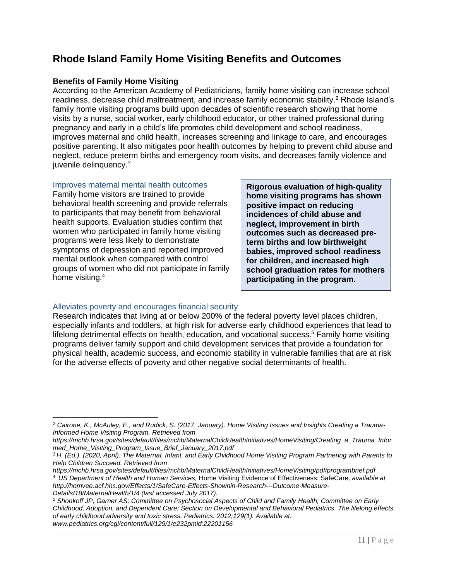# **Rhode Island Family Home Visiting Benefits and Outcomes**

# **Benefits of Family Home Visiting**

According to the American Academy of Pediatricians, family home visiting can increase school readiness, decrease child maltreatment, and increase family economic stability.<sup>2</sup> Rhode Island's family home visiting programs build upon decades of scientific research showing that home visits by a nurse, social worker, early childhood educator, or other trained professional during pregnancy and early in a child's life promotes child development and school readiness, improves maternal and child health, increases screening and linkage to care, and encourages positive parenting. It also mitigates poor health outcomes by helping to prevent child abuse and neglect, reduce preterm births and emergency room visits, and decreases family violence and juvenile delinquency. *3*

Improves maternal mental health outcomes Family home visitors are trained to provide behavioral health screening and provide referrals to participants that may benefit from behavioral health supports. Evaluation studies confirm that women who participated in family home visiting programs were less likely to demonstrate symptoms of depression and reported improved mental outlook when compared with control groups of women who did not participate in family home visiting.<sup>4</sup>

**Rigorous evaluation of high-quality home visiting programs has shown positive impact on reducing incidences of child abuse and neglect, improvement in birth outcomes such as decreased preterm births and low birthweight babies, improved school readiness for children, and increased high school graduation rates for mothers participating in the program.**

# Alleviates poverty and encourages financial security

Research indicates that living at or below 200% of the federal poverty level places children, especially infants and toddlers, at high risk for adverse early childhood experiences that lead to lifelong detrimental effects on health, education, and vocational success.<sup>5</sup> Family home visiting programs deliver family support and child development services that provide a foundation for physical health, academic success, and economic stability in vulnerable families that are at risk for the adverse effects of poverty and other negative social determinants of health.

*<sup>2</sup> Cairone, K., McAuley, E., and Rudick, S. (2017, January). Home Visiting Issues and Insights Creating a Trauma-Informed Home Visiting Program. Retrieved from* 

*https://mchb.hrsa.gov/sites/default/files/mchb/MaternalChildHealthInitiatives/HomeVisiting/Creating\_a\_Trauma\_Infor med\_Home\_Visiting\_Program\_Issue\_Brief\_January\_2017.pdf*

*<sup>3</sup> H. (Ed.). (2020, April). The Maternal, Infant, and Early Childhood Home Visiting Program Partnering with Parents to Help Children Succeed. Retrieved from* 

*https://mchb.hrsa.gov/sites/default/files/mchb/MaternalChildHealthInitiatives/HomeVisiting/pdf/programbrief.pdf <sup>4</sup>US Department of Health and Human Services,* Home Visiting Evidence of Effectiveness: SafeCare*, available at http://homvee.acf.hhs.gov/Effects/1/SafeCare-Effects-Shownin-Research---Outcome-Measure-Details/18/MaternalHealth/1/4 (last accessed July 2017).*

*<sup>5</sup> Shonkoff JP, Garner AS; Committee on Psychosocial Aspects of Child and Family Health; Committee on Early Childhood, Adoption, and Dependent Care; Section on Developmental and Behavioral Pediatrics. The lifelong effects of early childhood adversity and toxic stress. Pediatrics. 2012;129(1). Available at: www.pediatrics.org/cgi/content/full/129/1/e232pmid:22201156*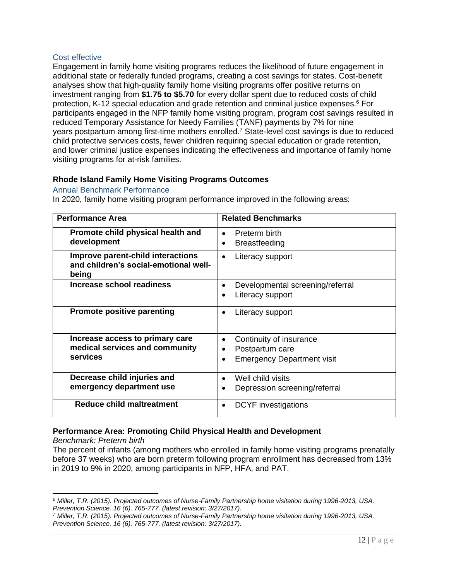## Cost effective

Engagement in family home visiting programs reduces the likelihood of future engagement in additional state or federally funded programs, creating a cost savings for states. Cost-benefit analyses show that high-quality family home visiting programs offer positive returns on investment ranging from **\$1.75 to \$5.70** for every dollar spent due to reduced costs of child protection, K-12 special education and grade retention and criminal justice expenses. <sup>6</sup> For participants engaged in the NFP family home visiting program, program cost savings resulted in reduced Temporary Assistance for Needy Families (TANF) payments by [7% for nine](https://www.nursefamilypartnership.org/wp-content/uploads/2017/02/Miller-State-Specific-Fact-Sheet_US_20170405-1.pdf)  [years](https://www.nursefamilypartnership.org/wp-content/uploads/2017/02/Miller-State-Specific-Fact-Sheet_US_20170405-1.pdf) postpartum among first-time mothers enrolled.<sup>7</sup> State-level cost savings is due to reduced child protective services costs, fewer children requiring special education or grade retention, and lower criminal justice expenses indicating the effectiveness and importance of family home visiting programs for at-risk families.

# **Rhode Island Family Home Visiting Programs Outcomes**

## Annual Benchmark Performance

In 2020, family home visiting program performance improved in the following areas:

| <b>Performance Area</b>                                                             | <b>Related Benchmarks</b>                                                                              |
|-------------------------------------------------------------------------------------|--------------------------------------------------------------------------------------------------------|
| Promote child physical health and<br>development                                    | Preterm birth<br>$\bullet$<br><b>Breastfeeding</b><br>$\bullet$                                        |
| Improve parent-child interactions<br>and children's social-emotional well-<br>being | Literacy support<br>٠                                                                                  |
| Increase school readiness                                                           | Developmental screening/referral<br>Literacy support<br>$\bullet$                                      |
| <b>Promote positive parenting</b>                                                   | Literacy support                                                                                       |
| Increase access to primary care<br>medical services and community<br>services       | Continuity of insurance<br>$\bullet$<br>Postpartum care<br>٠<br><b>Emergency Department visit</b><br>٠ |
| Decrease child injuries and<br>emergency department use                             | Well child visits<br>Depression screening/referral                                                     |
| <b>Reduce child maltreatment</b>                                                    | <b>DCYF</b> investigations                                                                             |

# **Performance Area: Promoting Child Physical Health and Development**

*Benchmark: Preterm birth* 

The percent of infants (among mothers who enrolled in family home visiting programs prenatally before 37 weeks) who are born preterm following program enrollment has decreased from 13% in 2019 to 9% in 2020, among participants in NFP, HFA, and PAT.

*<sup>6</sup> Miller, T.R. (2015). Projected outcomes of Nurse-Family Partnership home visitation during 1996-2013, USA. Prevention Science. 16 (6). 765-777. (latest revision: 3/27/2017).*

*<sup>7</sup> Miller, T.R. (2015). Projected outcomes of Nurse-Family Partnership home visitation during 1996-2013, USA. Prevention Science. 16 (6). 765-777. (latest revision: 3/27/2017).*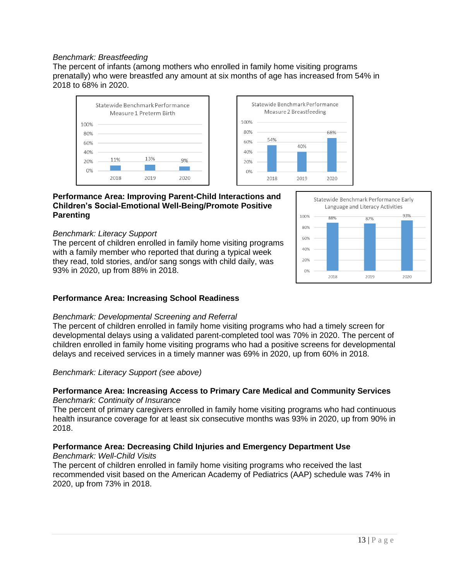## *Benchmark: Breastfeeding*

The percent of infants (among mothers who enrolled in family home visiting programs prenatally) who were breastfed any amount at six months of age has increased from 54% in 2018 to 68% in 2020.

100%

80%

60%

40%

 $20%$ 

 $0%$ 

54%

2018

Statewide Benchmark Performance

Measure 2 Breastfeeding

40%

68%



# **Performance Area: Improving Parent-Child Interactions and Children's Social-Emotional Well-Being/Promote Positive Parenting**

#### *Benchmark: Literacy Support*

The percent of children enrolled in family home visiting programs with a family member who reported that during a typical week they read, told stories, and/or sang songs with child daily, was 93% in 2020, up from 88% in 2018.



# **Performance Area: Increasing School Readiness**

#### *Benchmark: Developmental Screening and Referral*

The percent of children enrolled in family home visiting programs who had a timely screen for developmental delays using a validated parent-completed tool was 70% in 2020. The percent of children enrolled in family home visiting programs who had a positive screens for developmental delays and received services in a timely manner was 69% in 2020, up from 60% in 2018.

#### *Benchmark: Literacy Support (see above)*

## **Performance Area: Increasing Access to Primary Care Medical and Community Services** *Benchmark: Continuity of Insurance*

The percent of primary caregivers enrolled in family home visiting programs who had continuous health insurance coverage for at least six consecutive months was 93% in 2020, up from 90% in 2018.

# **Performance Area: Decreasing Child Injuries and Emergency Department Use**

# *Benchmark: Well-Child Visits*

The percent of children enrolled in family home visiting programs who received the last recommended visit based on the American Academy of Pediatrics (AAP) schedule was 74% in 2020, up from 73% in 2018.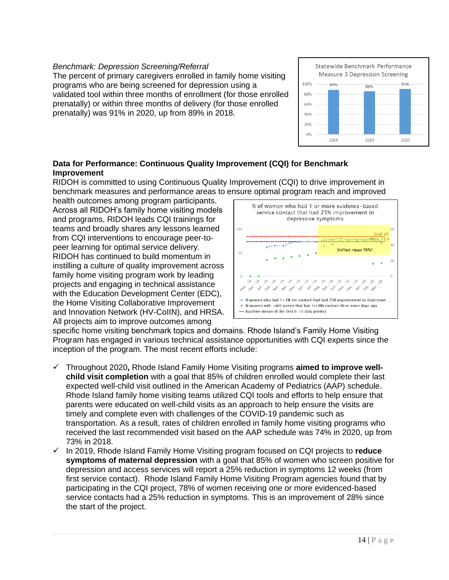## *Benchmark: Depression Screening/Referral*

The percent of primary caregivers enrolled in family home visiting programs who are being screened for depression using a validated tool within three months of enrollment (for those enrolled prenatally) or within three months of delivery (for those enrolled prenatally) was 91% in 2020, up from 89% in 2018.



# **Data for Performance: Continuous Quality Improvement (CQI) for Benchmark Improvement**

RIDOH is committed to using Continuous Quality Improvement (CQI) to drive improvement in benchmark measures and performance areas to ensure optimal program reach and improved

health outcomes among program participants. Across all RIDOH's family home visiting models and programs, RIDOH leads CQI trainings for teams and broadly shares any lessons learned from CQI interventions to encourage peer-topeer learning for optimal service delivery. RIDOH has continued to build momentum in instilling a culture of quality improvement across family home visiting program work by leading projects and engaging in technical assistance with the Education Development Center (EDC), the Home Visiting Collaborative Improvement and Innovation Network (HV-CoIIN), and HRSA. All projects aim to improve outcomes among



specific home visiting benchmark topics and domains. Rhode Island's Family Home Visiting Program has engaged in various technical assistance opportunities with CQI experts since the inception of the program. The most recent efforts include:

- ✓ Throughout 2020**,** Rhode Island Family Home Visiting programs **aimed to improve wellchild visit completion** with a goal that 85% of children enrolled would complete their last expected well-child visit outlined in the American Academy of Pediatrics (AAP) schedule. Rhode Island family home visiting teams utilized CQI tools and efforts to help ensure that parents were educated on well-child visits as an approach to help ensure the visits are timely and complete even with challenges of the COVID-19 pandemic such as transportation. As a result, rates of children enrolled in family home visiting programs who received the last recommended visit based on the AAP schedule was 74% in 2020, up from 73% in 2018.
- ✓ In 2019, Rhode Island Family Home Visiting program focused on CQI projects to **reduce symptoms of maternal depression** with a goal that 85% of women who screen positive for depression and access services will report a 25% reduction in symptoms 12 weeks (from first service contact). Rhode Island Family Home Visiting Program agencies found that by participating in the CQI project, 78% of women receiving one or more evidenced-based service contacts had a 25% reduction in symptoms. This is an improvement of 28% since the start of the project.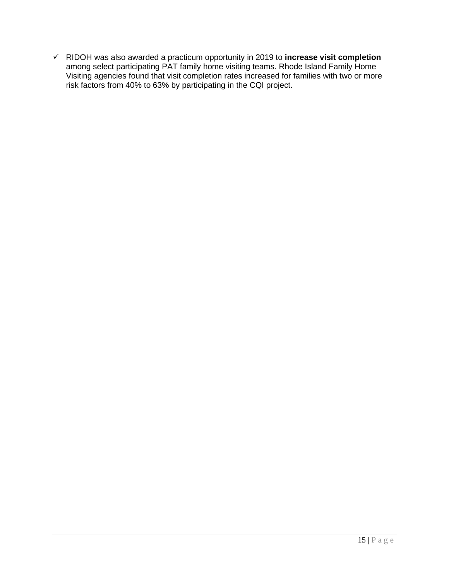✓ RIDOH was also awarded a practicum opportunity in 2019 to **increase visit completion** among select participating PAT family home visiting teams. Rhode Island Family Home Visiting agencies found that visit completion rates increased for families with two or more risk factors from 40% to 63% by participating in the CQI project.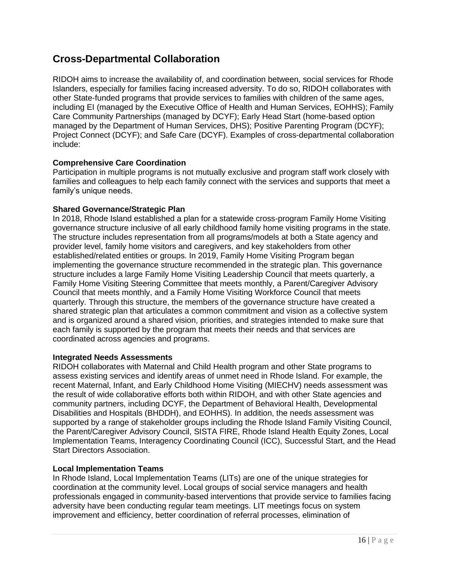# **Cross-Departmental Collaboration**

RIDOH aims to increase the availability of, and coordination between, social services for Rhode Islanders, especially for families facing increased adversity. To do so, RIDOH collaborates with other State-funded programs that provide services to families with children of the same ages, including EI (managed by the Executive Office of Health and Human Services, EOHHS); Family Care Community Partnerships (managed by DCYF); Early Head Start (home-based option managed by the Department of Human Services, DHS); Positive Parenting Program (DCYF); Project Connect (DCYF); and Safe Care (DCYF). Examples of cross-departmental collaboration include:

# **Comprehensive Care Coordination**

Participation in multiple programs is not mutually exclusive and program staff work closely with families and colleagues to help each family connect with the services and supports that meet a family's unique needs.

# **Shared Governance/Strategic Plan**

In 2018, Rhode Island established a plan for a statewide cross-program Family Home Visiting governance structure inclusive of all early childhood family home visiting programs in the state. The structure includes representation from all programs/models at both a State agency and provider level, family home visitors and caregivers, and key stakeholders from other established/related entities or groups. In 2019, Family Home Visiting Program began implementing the governance structure recommended in the strategic plan. This governance structure includes a large Family Home Visiting Leadership Council that meets quarterly, a Family Home Visiting Steering Committee that meets monthly, a Parent/Caregiver Advisory Council that meets monthly, and a Family Home Visiting Workforce Council that meets quarterly. Through this structure, the members of the governance structure have created a shared strategic plan that articulates a common commitment and vision as a collective system and is organized around a shared vision, priorities, and strategies intended to make sure that each family is supported by the program that meets their needs and that services are coordinated across agencies and programs.

# **Integrated Needs Assessments**

RIDOH collaborates with Maternal and Child Health program and other State programs to assess existing services and identify areas of unmet need in Rhode Island. For example, the recent Maternal, Infant, and Early Childhood Home Visiting (MIECHV) needs assessment was the result of wide collaborative efforts both within RIDOH, and with other State agencies and community partners, including DCYF, the Department of Behavioral Health, Developmental Disabilities and Hospitals (BHDDH), and EOHHS). In addition, the needs assessment was supported by a range of stakeholder groups including the Rhode Island Family Visiting Council, the Parent/Caregiver Advisory Council, SISTA FIRE, Rhode Island Health Equity Zones, Local Implementation Teams, Interagency Coordinating Council (ICC), Successful Start, and the Head Start Directors Association.

# **Local Implementation Teams**

In Rhode Island, Local Implementation Teams (LITs) are one of the unique strategies for coordination at the community level. Local groups of social service managers and health professionals engaged in community-based interventions that provide service to families facing adversity have been conducting regular team meetings. LIT meetings focus on system improvement and efficiency, better coordination of referral processes, elimination of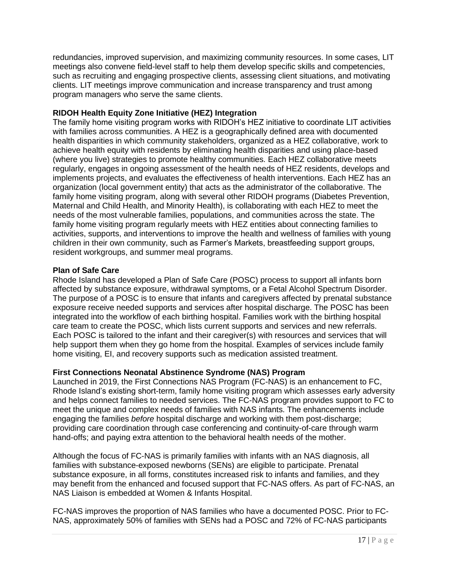redundancies, improved supervision, and maximizing community resources. In some cases, LIT meetings also convene field-level staff to help them develop specific skills and competencies, such as recruiting and engaging prospective clients, assessing client situations, and motivating clients. LIT meetings improve communication and increase transparency and trust among program managers who serve the same clients.

# **RIDOH Health Equity Zone Initiative (HEZ) Integration**

The family home visiting program works with RIDOH's HEZ initiative to coordinate LIT activities with families across communities. A HEZ is a geographically defined area with documented health disparities in which community stakeholders, organized as a HEZ collaborative, work to achieve health equity with residents by eliminating health disparities and using place-based (where you live) strategies to promote healthy communities. Each HEZ collaborative meets regularly, engages in ongoing assessment of the health needs of HEZ residents, develops and implements projects, and evaluates the effectiveness of health interventions. Each HEZ has an organization (local government entity) that acts as the administrator of the collaborative. The family home visiting program, along with several other RIDOH programs (Diabetes Prevention, Maternal and Child Health, and Minority Health), is collaborating with each HEZ to meet the needs of the most vulnerable families, populations, and communities across the state. The family home visiting program regularly meets with HEZ entities about connecting families to activities, supports, and interventions to improve the health and wellness of families with young children in their own community, such as Farmer's Markets, breastfeeding support groups, resident workgroups, and summer meal programs.

# **Plan of Safe Care**

Rhode Island has developed a Plan of Safe Care (POSC) process to support all infants born affected by substance exposure, withdrawal symptoms, or a Fetal Alcohol Spectrum Disorder. The purpose of a POSC is to ensure that infants and caregivers affected by prenatal substance exposure receive needed supports and services after hospital discharge. The POSC has been integrated into the workflow of each birthing hospital. Families work with the birthing hospital care team to create the POSC, which lists current supports and services and new referrals. Each POSC is tailored to the infant and their caregiver(s) with resources and services that will help support them when they go home from the hospital. Examples of services include family home visiting, EI, and recovery supports such as medication assisted treatment.

# **First Connections Neonatal Abstinence Syndrome (NAS) Program**

Launched in 2019, the First Connections NAS Program (FC-NAS) is an enhancement to FC, Rhode Island's existing short-term, family home visiting program which assesses early adversity and helps connect families to needed services. The FC-NAS program provides support to FC to meet the unique and complex needs of families with NAS infants. The enhancements include engaging the families *before* hospital discharge and working with them post-discharge; providing care coordination through case conferencing and continuity-of-care through warm hand-offs; and paying extra attention to the behavioral health needs of the mother.

Although the focus of FC-NAS is primarily families with infants with an NAS diagnosis, all families with substance-exposed newborns (SENs) are eligible to participate. Prenatal substance exposure, in all forms, constitutes increased risk to infants and families, and they may benefit from the enhanced and focused support that FC-NAS offers. As part of FC-NAS, an NAS Liaison is embedded at Women & Infants Hospital.

FC-NAS improves the proportion of NAS families who have a documented POSC. Prior to FC-NAS, approximately 50% of families with SENs had a POSC and 72% of FC-NAS participants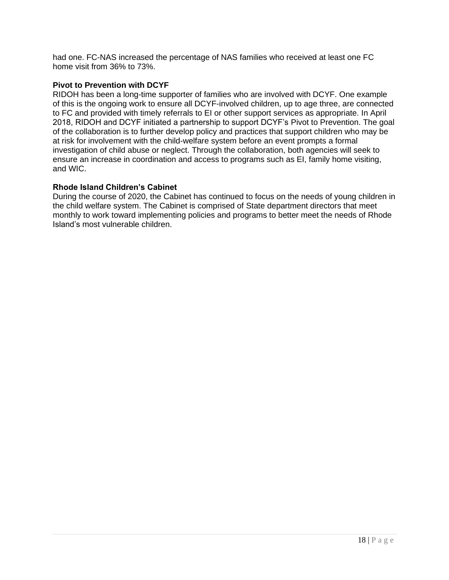had one. FC-NAS increased the percentage of NAS families who received at least one FC home visit from 36% to 73%.

## **Pivot to Prevention with DCYF**

RIDOH has been a long-time supporter of families who are involved with DCYF. One example of this is the ongoing work to ensure all DCYF-involved children, up to age three, are connected to FC and provided with timely referrals to EI or other support services as appropriate. In April 2018, RIDOH and DCYF initiated a partnership to support DCYF's Pivot to Prevention. The goal of the collaboration is to further develop policy and practices that support children who may be at risk for involvement with the child-welfare system before an event prompts a formal investigation of child abuse or neglect. Through the collaboration, both agencies will seek to ensure an increase in coordination and access to programs such as EI, family home visiting, and WIC.

## **Rhode Island Children's Cabinet**

During the course of 2020, the Cabinet has continued to focus on the needs of young children in the child welfare system. The Cabinet is comprised of State department directors that meet monthly to work toward implementing policies and programs to better meet the needs of Rhode Island's most vulnerable children.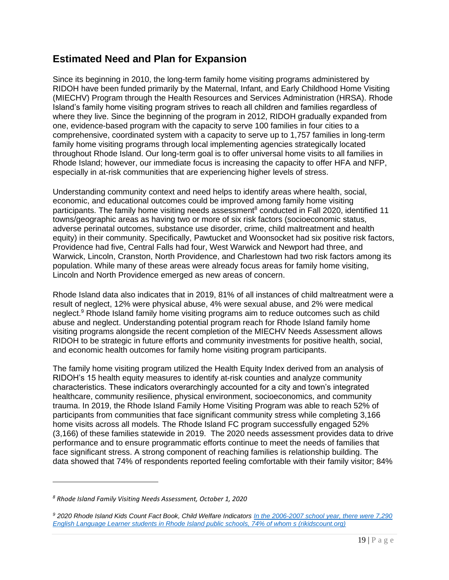# **Estimated Need and Plan for Expansion**

Since its beginning in 2010, the long-term family home visiting programs administered by RIDOH have been funded primarily by the Maternal, Infant, and Early Childhood Home Visiting (MIECHV) Program through the Health Resources and Services Administration (HRSA). Rhode Island's family home visiting program strives to reach all children and families regardless of where they live. Since the beginning of the program in 2012, RIDOH gradually expanded from one, evidence-based program with the capacity to serve 100 families in four cities to a comprehensive, coordinated system with a capacity to serve up to 1,757 families in long-term family home visiting programs through local implementing agencies strategically located throughout Rhode Island. Our long-term goal is to offer universal home visits to all families in Rhode Island; however, our immediate focus is increasing the capacity to offer HFA and NFP, especially in at-risk communities that are experiencing higher levels of stress.

Understanding community context and need helps to identify areas where health, social, economic, and educational outcomes could be improved among family home visiting participants. The family home visiting needs assessment<sup>8</sup> conducted in Fall 2020, identified 11 towns/geographic areas as having two or more of six risk factors (socioeconomic status, adverse perinatal outcomes, substance use disorder, crime, child maltreatment and health equity) in their community. Specifically, Pawtucket and Woonsocket had six positive risk factors, Providence had five, Central Falls had four, West Warwick and Newport had three, and Warwick, Lincoln, Cranston, North Providence, and Charlestown had two risk factors among its population. While many of these areas were already focus areas for family home visiting, Lincoln and North Providence emerged as new areas of concern.

Rhode Island data also indicates that in 2019, 81% of all instances of child maltreatment were a result of neglect, 12% were physical abuse, 4% were sexual abuse, and 2% were medical neglect.<sup>9</sup> Rhode Island family home visiting programs aim to reduce outcomes such as child abuse and neglect. Understanding potential program reach for Rhode Island family home visiting programs alongside the recent completion of the MIECHV Needs Assessment allows RIDOH to be strategic in future efforts and community investments for positive health, social, and economic health outcomes for family home visiting program participants.

The family home visiting program utilized the Health Equity Index derived from an analysis of RIDOH's 15 health equity measures to identify at-risk counties and analyze community characteristics. These indicators overarchingly accounted for a city and town's integrated healthcare, community resilience, physical environment, socioeconomics, and community trauma. In 2019, the Rhode Island Family Home Visiting Program was able to reach 52% of participants from communities that face significant community stress while completing 3,166 home visits across all models. The Rhode Island FC program successfully engaged 52% (3,166) of these families statewide in 2019. The 2020 needs assessment provides data to drive performance and to ensure programmatic efforts continue to meet the needs of families that face significant stress. A strong component of reaching families is relationship building. The data showed that 74% of respondents reported feeling comfortable with their family visitor; 84%

*<sup>8</sup> Rhode Island Family Visiting Needs Assessment, October 1, 2020*

*<sup>9</sup> 2020 Rhode Island Kids Count Fact Book, Child Welfare Indicators [In the 2006-2007 school year, there were 7,290](http://www.rikidscount.org/Portals/0/Uploads/Documents/Factbook%202020/Child%20Welfare%20Indicators%20Highlights_2020%20Factbook.pdf?ver=2020-04-03-155234-453)  [English Language Learner students in Rhode Island public schools, 74% of whom s \(rikidscount.org\)](http://www.rikidscount.org/Portals/0/Uploads/Documents/Factbook%202020/Child%20Welfare%20Indicators%20Highlights_2020%20Factbook.pdf?ver=2020-04-03-155234-453)*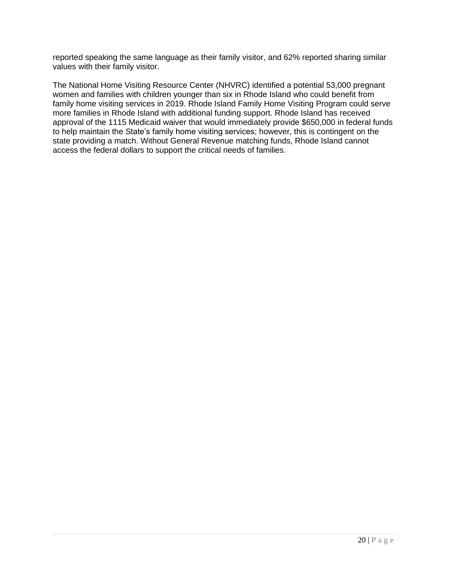reported speaking the same language as their family visitor, and 62% reported sharing similar values with their family visitor.

The National Home Visiting Resource Center (NHVRC) identified a potential 53,000 pregnant women and families with children younger than six in Rhode Island who could benefit from family home visiting services in 2019. Rhode Island Family Home Visiting Program could serve more families in Rhode Island with additional funding support. Rhode Island has received approval of the 1115 Medicaid waiver that would immediately provide \$650,000 in federal funds to help maintain the State's family home visiting services; however, this is contingent on the state providing a match. Without General Revenue matching funds, Rhode Island cannot access the federal dollars to support the critical needs of families.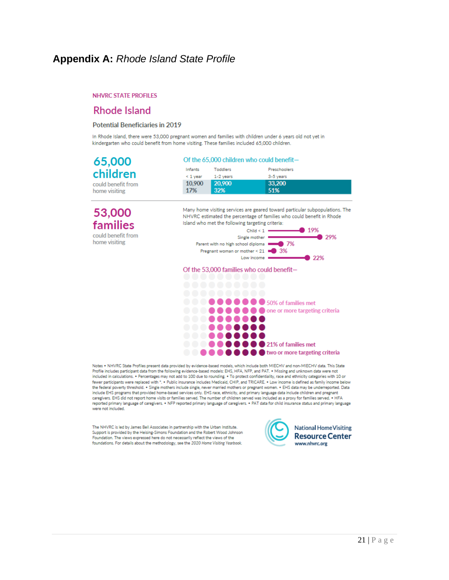# **Appendix A:** *Rhode Island State Profile*

#### **NHVRC STATE PROFILES**

# **Rhode Island**

#### **Potential Beneficiaries in 2019**

In Rhode Island, there were 53,000 pregnant women and families with children under 6 years old not vet in kindergarten who could benefit from home visiting. These families included 65,000 children.

| 65,000             | Of the 65,000 children who could benefit- |           |              |  |
|--------------------|-------------------------------------------|-----------|--------------|--|
|                    | Infants                                   | Toddlers  | Preschoolers |  |
| children           | $< 1$ vear                                | 1-2 years | 3-5 years    |  |
| could benefit from | 10,900                                    | 20,900    | 33,200       |  |
| home visiting      | 17%                                       | 32%       | 51%          |  |
|                    |                                           |           |              |  |

53,000 families could benefit from

home visiting

Many home visiting services are geared toward particular subpopulations. The NHVRC estimated the percentage of families who could benefit in Rhode Island who met the following targeting criteria:



Of the 53,000 families who could benefit-



Notes . NHVRC State Profiles present data provided by evidence-based models, which include both MIECHV and non-MIECHV data. This State Profile includes participant data from the following evidence-based models: EHS, HFA, NFP, and PAT. . Missing and unknown data were not included in calculations. . Percentages may not add to 100 due to rounding. . To protect confidentiality, race and ethnicity categories with 10 or fewer participants were replaced with \*. . Public insurance includes Medicaid, CHIP, and TRICARE. . Low income is defined as family income below the federal poverty threshold. . Single mothers include single, never married mothers or pregnant women. . EHS data may be underreported. Data include EHS programs that provided home-based services only. EHS race, ethnicity, and primary language data include children and pregnant caregivers. EHS did not report home visits or families served. The number of children served was included as a proxy for families served. . HFA reported primary language of caregivers. • NFP reported primary language of caregivers. • PAT data for child insurance status and primary language were not included.

The NHVRC is led by James Bell Associates in partnership with the Urban Institute. Support is provided by the Heising-Simons Foundation and the Robert Wood Johnson Foundation. The views expressed here do not necessarily reflect the views of the foundations. For details about the methodology, see the 2020 Home Visiting Yearbook